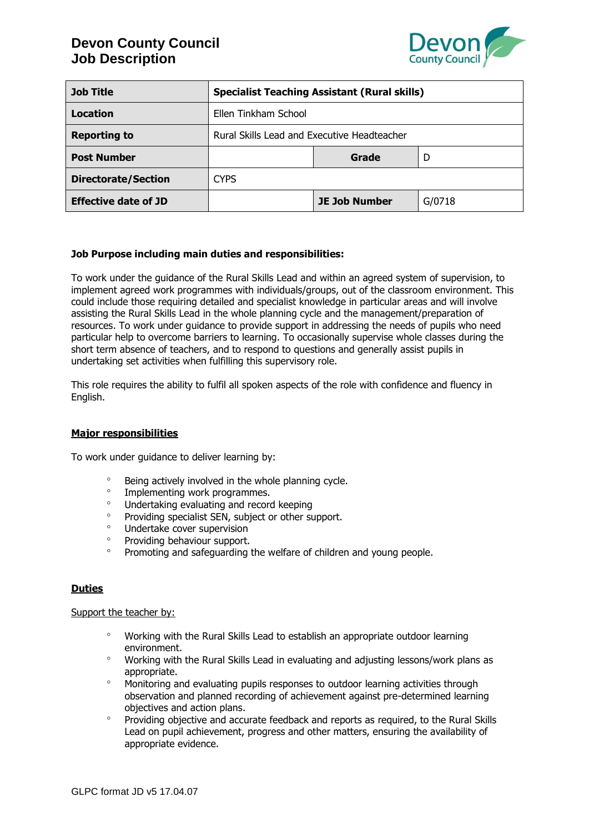

| <b>Job Title</b>            | <b>Specialist Teaching Assistant (Rural skills)</b> |                      |        |
|-----------------------------|-----------------------------------------------------|----------------------|--------|
| Location                    | Ellen Tinkham School                                |                      |        |
| <b>Reporting to</b>         | Rural Skills Lead and Executive Headteacher         |                      |        |
| <b>Post Number</b>          |                                                     | Grade                | D      |
| <b>Directorate/Section</b>  | <b>CYPS</b>                                         |                      |        |
| <b>Effective date of JD</b> |                                                     | <b>JE Job Number</b> | G/0718 |

### **Job Purpose including main duties and responsibilities:**

To work under the guidance of the Rural Skills Lead and within an agreed system of supervision, to implement agreed work programmes with individuals/groups, out of the classroom environment. This could include those requiring detailed and specialist knowledge in particular areas and will involve assisting the Rural Skills Lead in the whole planning cycle and the management/preparation of resources. To work under guidance to provide support in addressing the needs of pupils who need particular help to overcome barriers to learning. To occasionally supervise whole classes during the short term absence of teachers, and to respond to questions and generally assist pupils in undertaking set activities when fulfilling this supervisory role.

This role requires the ability to fulfil all spoken aspects of the role with confidence and fluency in English.

#### **Major responsibilities**

To work under guidance to deliver learning by:

- Being actively involved in the whole planning cycle.
- Implementing work programmes.<br>○ Indertaking evaluating and record
- <sup>o</sup> Undertaking evaluating and record keeping<br>
Providing specialist SEN, subject or other subject
- Providing specialist SEN, subject or other support.<br>• Undertake cover supervision
- <sup>o</sup> Undertake cover supervision
- Providing behaviour support.
- <sup>o</sup> Promoting and safeguarding the welfare of children and young people.

#### **Duties**

#### Support the teacher by:

- Working with the Rural Skills Lead to establish an appropriate outdoor learning environment.
- Working with the Rural Skills Lead in evaluating and adjusting lessons/work plans as appropriate.
- <sup>o</sup> Monitoring and evaluating pupils responses to outdoor learning activities through observation and planned recording of achievement against pre-determined learning objectives and action plans.
- Providing objective and accurate feedback and reports as required, to the Rural Skills Lead on pupil achievement, progress and other matters, ensuring the availability of appropriate evidence.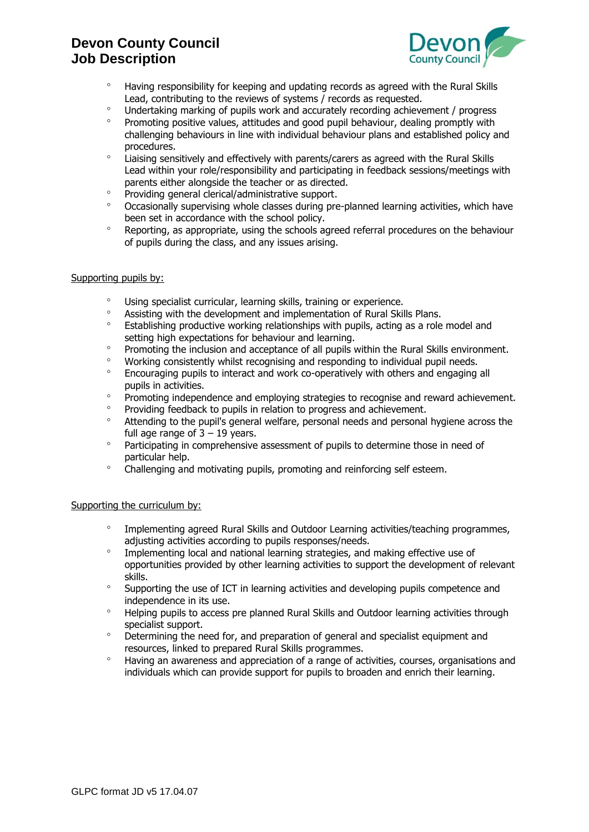

- Having responsibility for keeping and updating records as agreed with the Rural Skills Lead, contributing to the reviews of systems / records as requested.
- Undertaking marking of pupils work and accurately recording achievement / progress
- $\degree$  Promoting positive values, attitudes and good pupil behaviour, dealing promptly with challenging behaviours in line with individual behaviour plans and established policy and procedures.
- Liaising sensitively and effectively with parents/carers as agreed with the Rural Skills Lead within your role/responsibility and participating in feedback sessions/meetings with parents either alongside the teacher or as directed.
- Providing general clerical/administrative support.
- <sup>o</sup> Occasionally supervising whole classes during pre-planned learning activities, which have been set in accordance with the school policy.
- <sup>o</sup> Reporting, as appropriate, using the schools agreed referral procedures on the behaviour of pupils during the class, and any issues arising.

#### Supporting pupils by:

- <sup>o</sup> Using specialist curricular, learning skills, training or experience.
- Assisting with the development and implementation of Rural Skills Plans.
- <sup>o</sup> Establishing productive working relationships with pupils, acting as a role model and setting high expectations for behaviour and learning.
- <sup>o</sup> Promoting the inclusion and acceptance of all pupils within the Rural Skills environment.
- <sup>o</sup> Working consistently whilst recognising and responding to individual pupil needs.
- Encouraging pupils to interact and work co-operatively with others and engaging all pupils in activities.
- <sup>o</sup> Promoting independence and emploving strategies to recognise and reward achievement.
- <sup>o</sup> Providing feedback to pupils in relation to progress and achievement.
- <sup>o</sup> Attending to the pupil's general welfare, personal needs and personal hygiene across the full age range of  $3 - 19$  years.
- <sup>o</sup> Participating in comprehensive assessment of pupils to determine those in need of particular help.
- Challenging and motivating pupils, promoting and reinforcing self esteem.

#### Supporting the curriculum by:

- Implementing agreed Rural Skills and Outdoor Learning activities/teaching programmes, adjusting activities according to pupils responses/needs.
- <sup>o</sup> Implementing local and national learning strategies, and making effective use of opportunities provided by other learning activities to support the development of relevant skills.
- Supporting the use of ICT in learning activities and developing pupils competence and independence in its use.
- <sup>o</sup> Helping pupils to access pre planned Rural Skills and Outdoor learning activities through specialist support.
- <sup>o</sup> Determining the need for, and preparation of general and specialist equipment and resources, linked to prepared Rural Skills programmes.
- Having an awareness and appreciation of a range of activities, courses, organisations and individuals which can provide support for pupils to broaden and enrich their learning.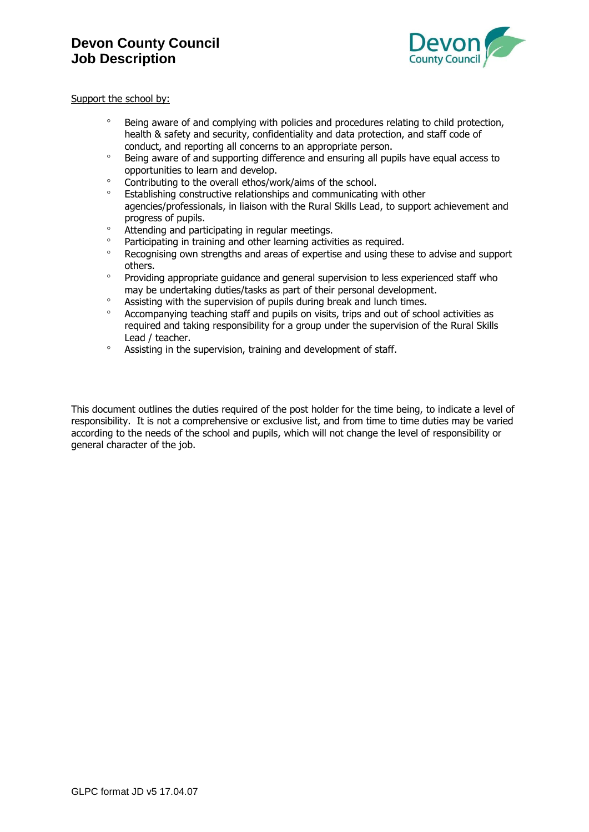

#### Support the school by:

- <sup>o</sup> Being aware of and complying with policies and procedures relating to child protection, health & safety and security, confidentiality and data protection, and staff code of conduct, and reporting all concerns to an appropriate person.
- Being aware of and supporting difference and ensuring all pupils have equal access to opportunities to learn and develop.
- <sup>o</sup> Contributing to the overall ethos/work/aims of the school.
- Establishing constructive relationships and communicating with other agencies/professionals, in liaison with the Rural Skills Lead, to support achievement and progress of pupils.
- <sup>o</sup> Attending and participating in regular meetings.
- Participating in training and other learning activities as required.
- Recognising own strengths and areas of expertise and using these to advise and support others.
- Providing appropriate guidance and general supervision to less experienced staff who may be undertaking duties/tasks as part of their personal development.
- <sup>o</sup> Assisting with the supervision of pupils during break and lunch times.
- Accompanying teaching staff and pupils on visits, trips and out of school activities as required and taking responsibility for a group under the supervision of the Rural Skills Lead / teacher.
- Assisting in the supervision, training and development of staff.

This document outlines the duties required of the post holder for the time being, to indicate a level of responsibility. It is not a comprehensive or exclusive list, and from time to time duties may be varied according to the needs of the school and pupils, which will not change the level of responsibility or general character of the job.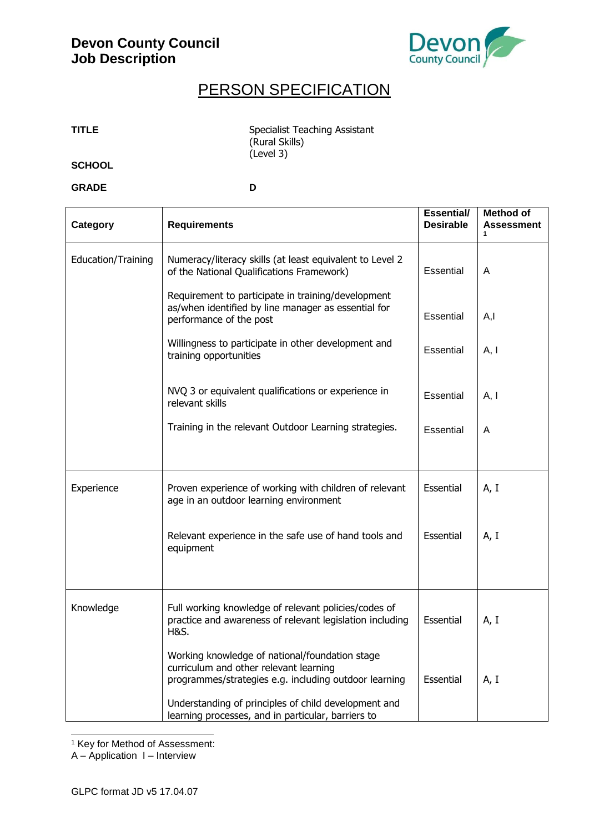

# PERSON SPECIFICATION

| <b>TITLE</b> | Specialist Teaching Assistant |
|--------------|-------------------------------|
|              | (Rural Skills)                |
|              | (Level 3)                     |
| וחחומים      |                               |

**SCHOOL**

**GRADE D**

| Category           | <b>Requirements</b>                                                                                                                                                                                       | <b>Essential/</b><br><b>Desirable</b> | <b>Method of</b><br><b>Assessment</b> |
|--------------------|-----------------------------------------------------------------------------------------------------------------------------------------------------------------------------------------------------------|---------------------------------------|---------------------------------------|
| Education/Training | Numeracy/literacy skills (at least equivalent to Level 2<br>of the National Qualifications Framework)                                                                                                     | Essential                             | A                                     |
|                    | Requirement to participate in training/development<br>as/when identified by line manager as essential for<br>performance of the post                                                                      | Essential                             | A,I                                   |
|                    | Willingness to participate in other development and<br>training opportunities                                                                                                                             | Essential                             | A, I                                  |
|                    | NVQ 3 or equivalent qualifications or experience in<br>relevant skills                                                                                                                                    | Essential                             | A, I                                  |
|                    | Training in the relevant Outdoor Learning strategies.                                                                                                                                                     | Essential                             | Α                                     |
| Experience         | Proven experience of working with children of relevant<br>age in an outdoor learning environment                                                                                                          | Essential                             | A, I                                  |
|                    | Relevant experience in the safe use of hand tools and<br>equipment                                                                                                                                        | Essential                             | A, I                                  |
| Knowledge          | Full working knowledge of relevant policies/codes of<br>practice and awareness of relevant legislation including<br>H&S.                                                                                  | Essential                             | A, I                                  |
|                    | Working knowledge of national/foundation stage<br>curriculum and other relevant learning<br>programmes/strategies e.g. including outdoor learning<br>Understanding of principles of child development and | Essential                             | A, I                                  |
|                    | learning processes, and in particular, barriers to                                                                                                                                                        |                                       |                                       |

-<sup>1</sup> Key for Method of Assessment:

A – Application I – Interview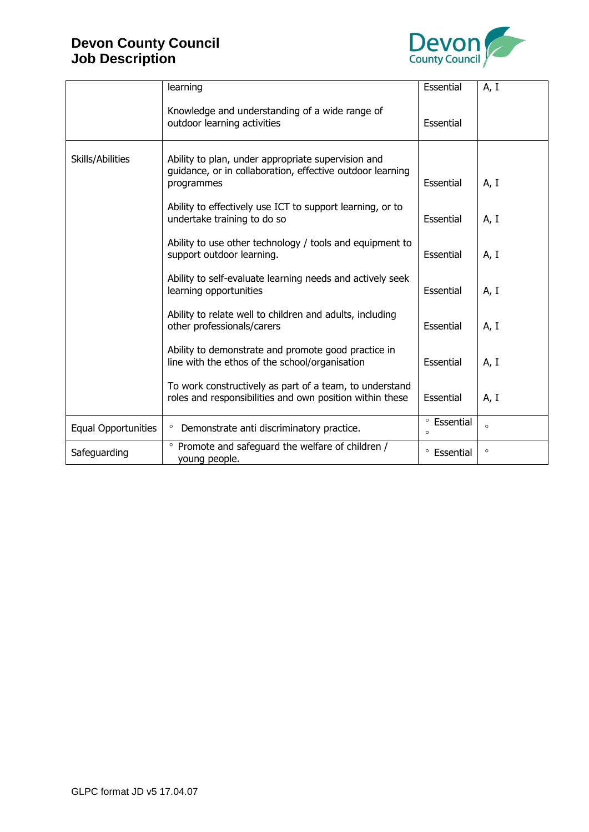

|                            | learning                                                                                                                      | Essential              | A, I    |
|----------------------------|-------------------------------------------------------------------------------------------------------------------------------|------------------------|---------|
|                            | Knowledge and understanding of a wide range of<br>outdoor learning activities                                                 | Essential              |         |
| Skills/Abilities           | Ability to plan, under appropriate supervision and<br>guidance, or in collaboration, effective outdoor learning<br>programmes | Essential              | A, I    |
|                            | Ability to effectively use ICT to support learning, or to<br>undertake training to do so                                      | Essential              | A, I    |
|                            | Ability to use other technology / tools and equipment to<br>support outdoor learning.                                         | Essential              | A, I    |
|                            | Ability to self-evaluate learning needs and actively seek<br>learning opportunities                                           | Essential              | A, I    |
|                            | Ability to relate well to children and adults, including<br>other professionals/carers                                        | Essential              | A, I    |
|                            | Ability to demonstrate and promote good practice in<br>line with the ethos of the school/organisation                         | Essential              | A, I    |
|                            | To work constructively as part of a team, to understand<br>roles and responsibilities and own position within these           | Essential              | A, I    |
| <b>Equal Opportunities</b> | $\circ$<br>Demonstrate anti discriminatory practice.                                                                          | ° Essential<br>$\circ$ | $\circ$ |
| Safeguarding               | • Promote and safeguard the welfare of children /<br>young people.                                                            | $\circ$<br>Essential   | $\circ$ |